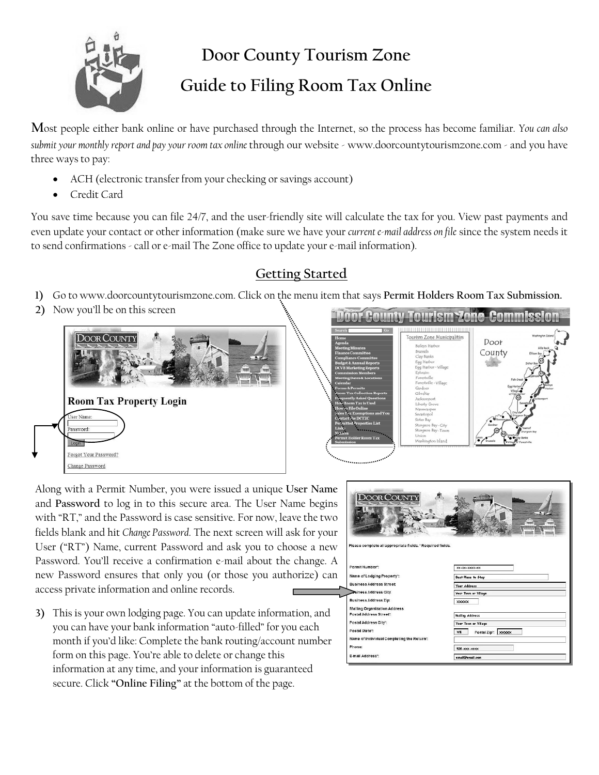

## **Door County Tourism Zone Guide to Filing Room Tax Online**

**M**ost people either bank online or have purchased through the Internet, so the process has become familiar. *You can also submit your monthly report and pay your room tax online* through our website - www.doorcountytourismzone.com - and you have three ways to pay:

- ACH (electronic transfer from your checking or savings account)
- Credit Card

You save time because you can file 24/7, and the user-friendly site will calculate the tax for you. View past payments and even update your contact or other information (make sure we have your *current e-mail address on file* since the system needs it to send confirmations - call or e-mail The Zone office to update your e-mail information).

## **Getting Started**

- **1)** Go to www.doorcountytourismzone.com. Click on the menu item that says **Permit Holders Room Tax Submission.**
- **2)** Now you'll be on this screen





Along with a Permit Number, you were issued a unique **User Name** and **Password** to log in to this secure area. The User Name begins with "RT," and the Password is case sensitive. For now, leave the two fields blank and hit *Change Password*. The next screen will ask for your User ("RT") Name, current Password and ask you to choose a new Password. You'll receive a confirmation e-mail about the change. A new Password ensures that only you (or those you authorize) can access private information and online records.

**3)** This is your own lodging page. You can update information, and you can have your bank information "auto-filled" for you each month if you'd like: Complete the bank routing/account number form on this page. You're able to delete or change this information at any time, and your information is guaranteed secure. Click **"Online Filing"** at the bottom of the page.